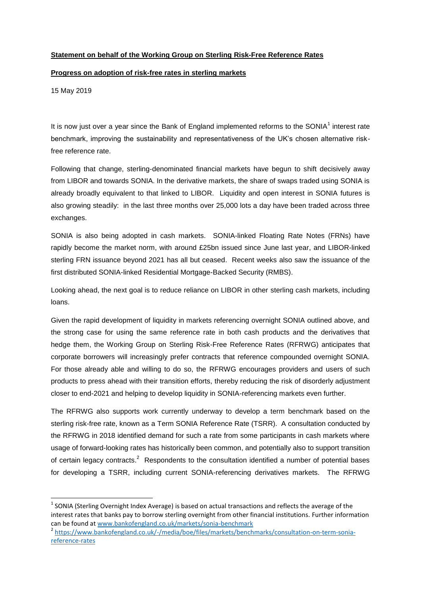## **Statement on behalf of the Working Group on Sterling Risk-Free Reference Rates**

## **Progress on adoption of risk-free rates in sterling markets**

15 May 2019

 $\overline{a}$ 

It is now just over a year since the Bank of England implemented reforms to the SONIA<sup>1</sup> interest rate benchmark, improving the sustainability and representativeness of the UK's chosen alternative riskfree reference rate.

Following that change, sterling-denominated financial markets have begun to shift decisively away from LIBOR and towards SONIA. In the derivative markets, the share of swaps traded using SONIA is already broadly equivalent to that linked to LIBOR. Liquidity and open interest in SONIA futures is also growing steadily: in the last three months over 25,000 lots a day have been traded across three exchanges.

SONIA is also being adopted in cash markets. SONIA-linked Floating Rate Notes (FRNs) have rapidly become the market norm, with around £25bn issued since June last year, and LIBOR-linked sterling FRN issuance beyond 2021 has all but ceased. Recent weeks also saw the issuance of the first distributed SONIA-linked Residential Mortgage-Backed Security (RMBS).

Looking ahead, the next goal is to reduce reliance on LIBOR in other sterling cash markets, including loans.

Given the rapid development of liquidity in markets referencing overnight SONIA outlined above, and the strong case for using the same reference rate in both cash products and the derivatives that hedge them, the Working Group on Sterling Risk-Free Reference Rates (RFRWG) anticipates that corporate borrowers will increasingly prefer contracts that reference compounded overnight SONIA. For those already able and willing to do so, the RFRWG encourages providers and users of such products to press ahead with their transition efforts, thereby reducing the risk of disorderly adjustment closer to end-2021 and helping to develop liquidity in SONIA-referencing markets even further.

The RFRWG also supports work currently underway to develop a term benchmark based on the sterling risk-free rate, known as a Term SONIA Reference Rate (TSRR). A consultation conducted by the RFRWG in 2018 identified demand for such a rate from some participants in cash markets where usage of forward-looking rates has historically been common, and potentially also to support transition of certain legacy contracts.<sup>2</sup> Respondents to the consultation identified a number of potential bases for developing a TSRR, including current SONIA-referencing derivatives markets. The RFRWG

 $<sup>1</sup>$  SONIA (Sterling Overnight Index Average) is based on actual transactions and reflects the average of the</sup> interest rates that banks pay to borrow sterling overnight from other financial institutions. Further information can be found at [www.bankofengland.co.uk/markets/sonia-benchmark](http://www.bankofengland.co.uk/markets/sonia-benchmark)

<sup>2</sup> [https://www.bankofengland.co.uk/-/media/boe/files/markets/benchmarks/consultation-on-term-sonia](https://www.bankofengland.co.uk/-/media/boe/files/markets/benchmarks/consultation-on-term-sonia-reference-rates)[reference-rates](https://www.bankofengland.co.uk/-/media/boe/files/markets/benchmarks/consultation-on-term-sonia-reference-rates)